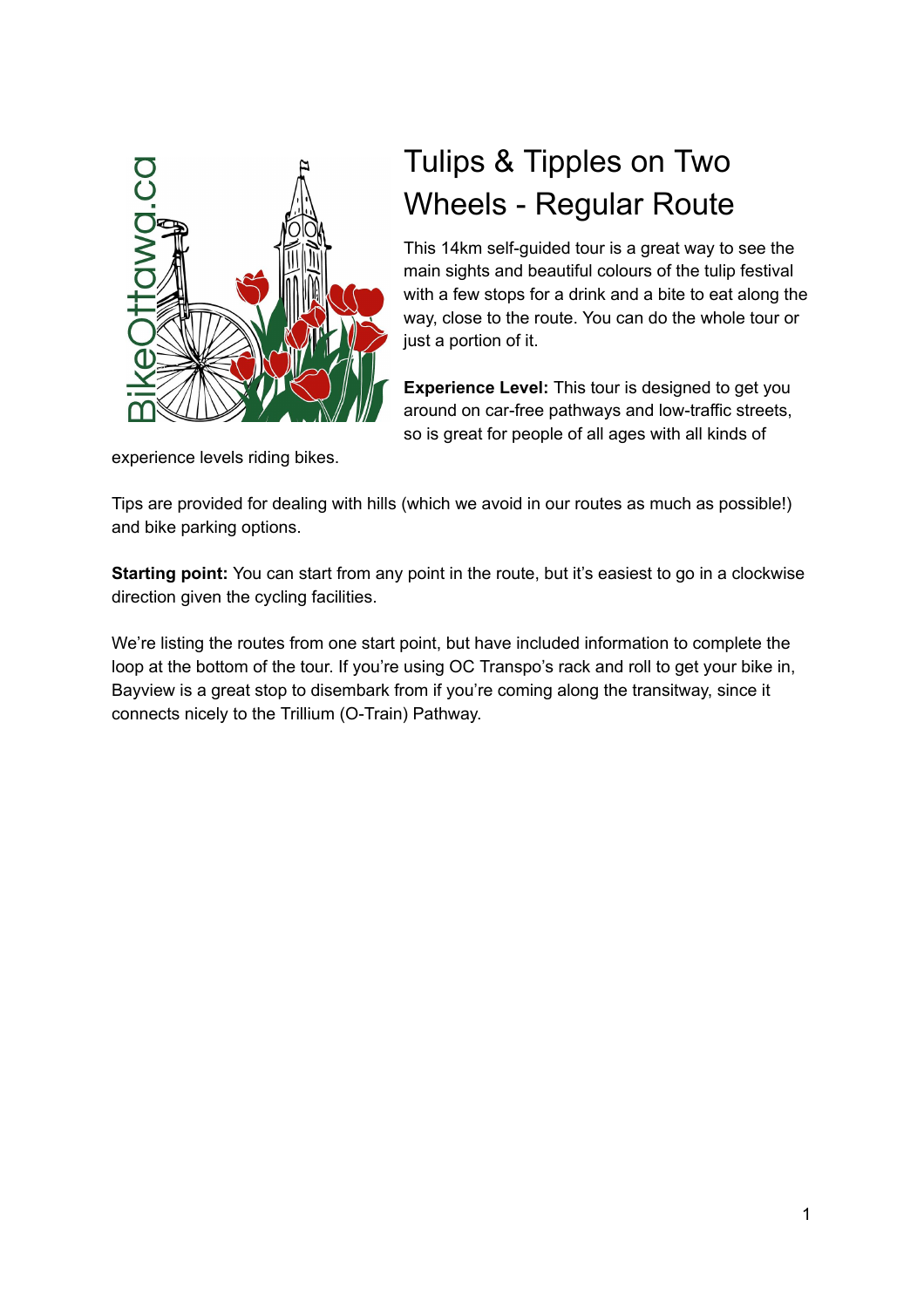

# Tulips & Tipples on Two Wheels - Regular Route

This 14km self-guided tour is a great way to see the main sights and beautiful colours of the tulip festival with a few stops for a drink and a bite to eat along the way, close to the route. You can do the whole tour or just a portion of it.

**Experience Level:** This tour is designed to get you around on car-free pathways and low-traffic streets, so is great for people of all ages with all kinds of

experience levels riding bikes.

Tips are provided for dealing with hills (which we avoid in our routes as much as possible!) and bike parking options.

**Starting point:** You can start from any point in the route, but it's easiest to go in a clockwise direction given the cycling facilities.

We're listing the routes from one start point, but have included information to complete the loop at the bottom of the tour. If you're using OC Transpo's rack and roll to get your bike in, Bayview is a great stop to disembark from if you're coming along the transitway, since it connects nicely to the Trillium (O-Train) Pathway.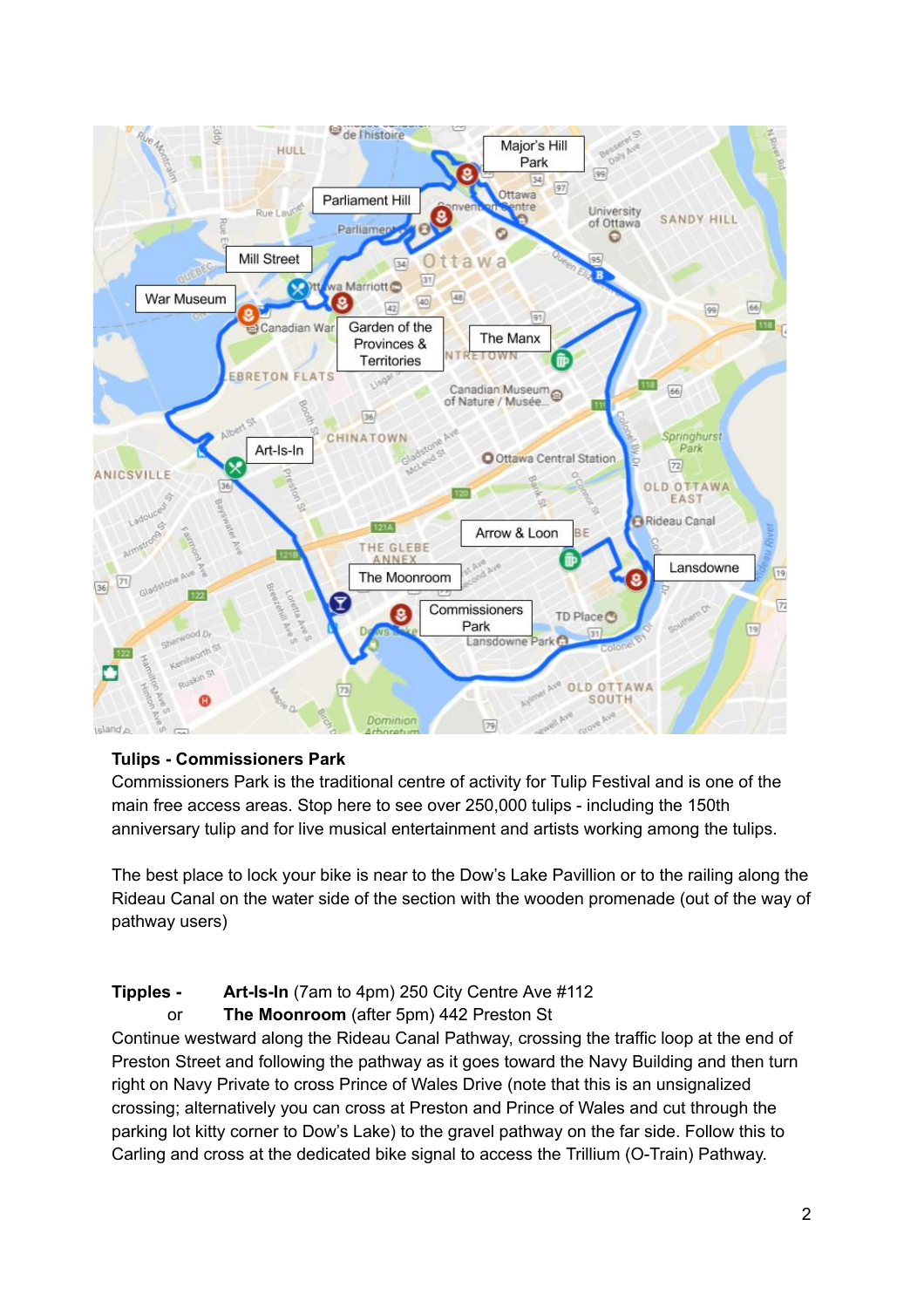

## **Tulips Commissioners Park**

Commissioners Park is the traditional centre of activity for Tulip Festival and is one of the main free access areas. Stop here to see over 250,000 tulips - including the 150th anniversary tulip and for live musical entertainment and artists working among the tulips.

The best place to lock your bike is near to the Dow's Lake Pavillion or to the railing along the Rideau Canal on the water side of the section with the wooden promenade (out of the way of pathway users)

## **Tipples - Art-Is-In** (7am to 4pm) 250 City Centre Ave #112

or **The Moonroom** (after 5pm) 442 Preston St

Continue westward along the Rideau Canal Pathway, crossing the traffic loop at the end of Preston Street and following the pathway as it goes toward the Navy Building and then turn right on Navy Private to cross Prince of Wales Drive (note that this is an unsignalized crossing; alternatively you can cross at Preston and Prince of Wales and cut through the parking lot kitty corner to Dow's Lake) to the gravel pathway on the far side. Follow this to Carling and cross at the dedicated bike signal to access the Trillium (O-Train) Pathway.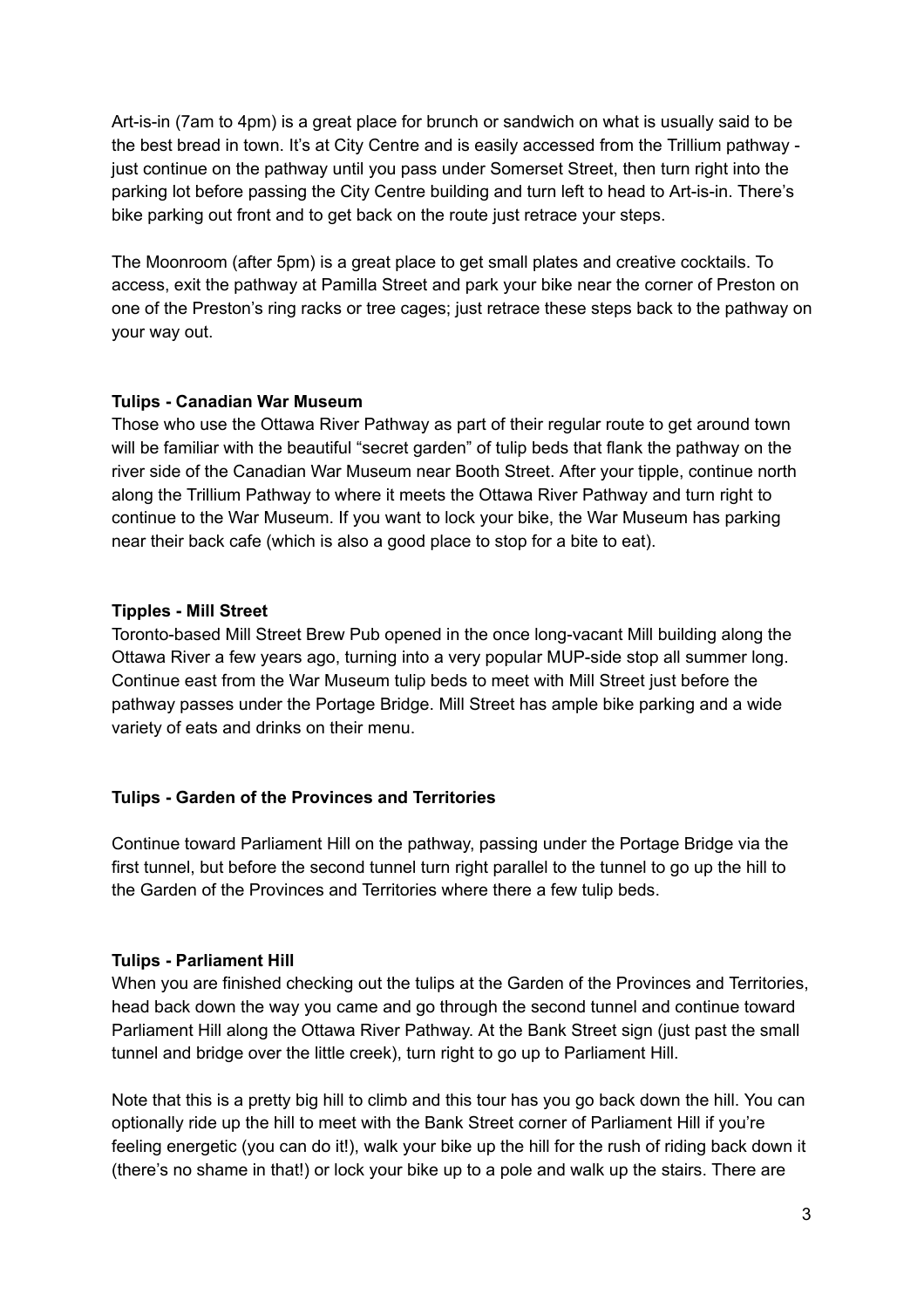Art-is-in (7am to 4pm) is a great place for brunch or sandwich on what is usually said to be the best bread in town. It's at City Centre and is easily accessed from the Trillium pathway just continue on the pathway until you pass under Somerset Street, then turn right into the parking lot before passing the City Centre building and turn left to head to Art-is-in. There's bike parking out front and to get back on the route just retrace your steps.

The Moonroom (after 5pm) is a great place to get small plates and creative cocktails. To access, exit the pathway at Pamilla Street and park your bike near the corner of Preston on one of the Preston's ring racks or tree cages; just retrace these steps back to the pathway on your way out.

#### **Tulips Canadian War Museum**

Those who use the Ottawa River Pathway as part of their regular route to get around town will be familiar with the beautiful "secret garden" of tulip beds that flank the pathway on the river side of the Canadian War Museum near Booth Street. After your tipple, continue north along the Trillium Pathway to where it meets the Ottawa River Pathway and turn right to continue to the War Museum. If you want to lock your bike, the War Museum has parking near their back cafe (which is also a good place to stop for a bite to eat).

## **Tipples Mill Street**

Toronto-based Mill Street Brew Pub opened in the once long-vacant Mill building along the Ottawa River a few years ago, turning into a very popular MUPside stop all summer long. Continue east from the War Museum tulip beds to meet with Mill Street just before the pathway passes under the Portage Bridge. Mill Street has ample bike parking and a wide variety of eats and drinks on their menu.

## **Tulips Garden of the Provinces and Territories**

Continue toward Parliament Hill on the pathway, passing under the Portage Bridge via the first tunnel, but before the second tunnel turn right parallel to the tunnel to go up the hill to the Garden of the Provinces and Territories where there a few tulip beds.

#### **Tulips Parliament Hill**

When you are finished checking out the tulips at the Garden of the Provinces and Territories, head back down the way you came and go through the second tunnel and continue toward Parliament Hill along the Ottawa River Pathway. At the Bank Street sign (just past the small tunnel and bridge over the little creek), turn right to go up to Parliament Hill.

Note that this is a pretty big hill to climb and this tour has you go back down the hill. You can optionally ride up the hill to meet with the Bank Street corner of Parliament Hill if you're feeling energetic (you can do it!), walk your bike up the hill for the rush of riding back down it (there's no shame in that!) or lock your bike up to a pole and walk up the stairs. There are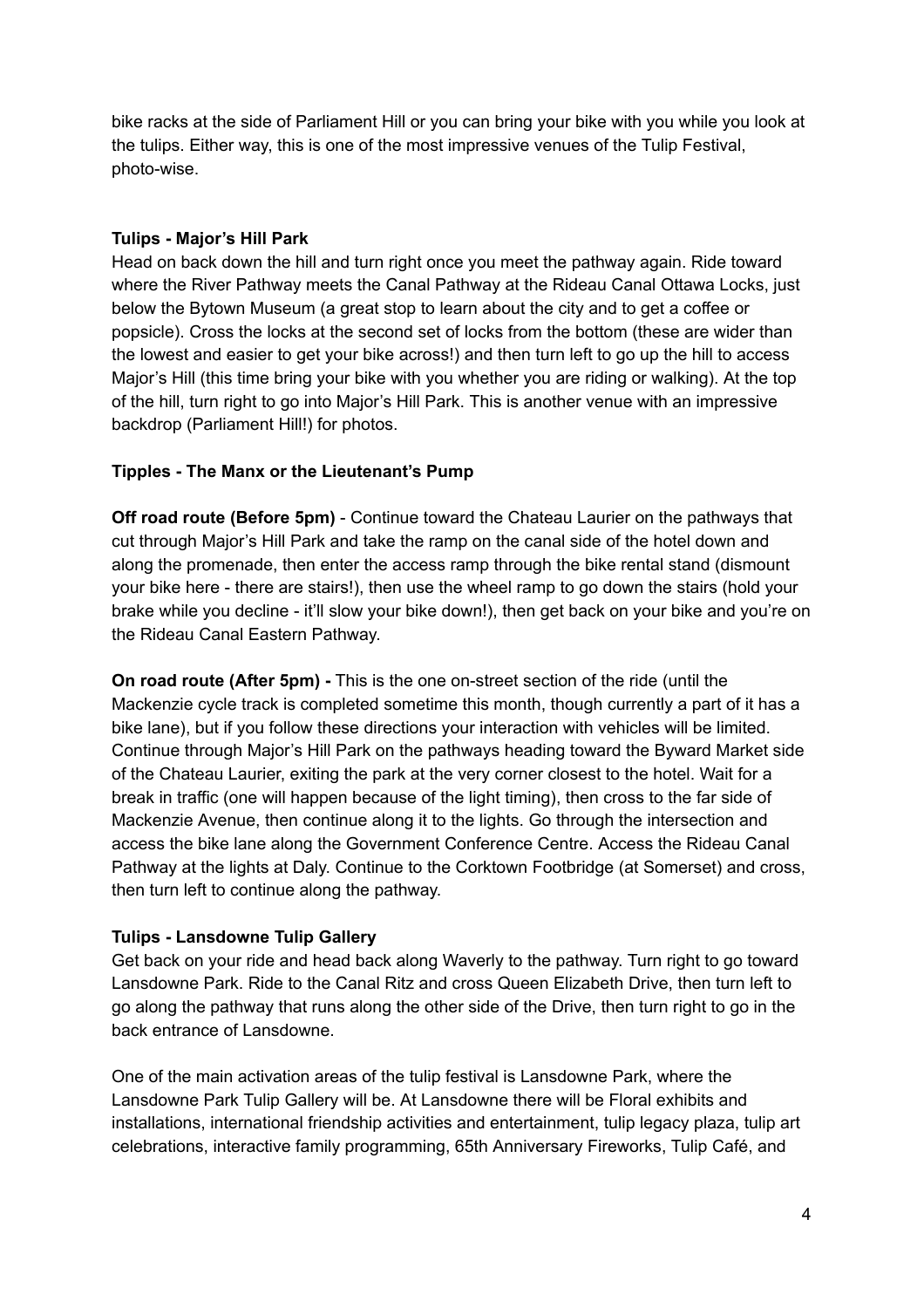bike racks at the side of Parliament Hill or you can bring your bike with you while you look at the tulips. Either way, this is one of the most impressive venues of the Tulip Festival, photo-wise.

## **Tulips Major's Hill Park**

Head on back down the hill and turn right once you meet the pathway again. Ride toward where the River Pathway meets the Canal Pathway at the Rideau Canal Ottawa Locks, just below the Bytown Museum (a great stop to learn about the city and to get a coffee or popsicle). Cross the locks at the second set of locks from the bottom (these are wider than the lowest and easier to get your bike across!) and then turn left to go up the hill to access Major's Hill (this time bring your bike with you whether you are riding or walking). At the top of the hill, turn right to go into Major's Hill Park. This is another venue with an impressive backdrop (Parliament Hill!) for photos.

## **Tipples The Manx or the Lieutenant's Pump**

**Off road route (Before 5pm)** Continue toward the Chateau Laurier on the pathways that cut through Major's Hill Park and take the ramp on the canal side of the hotel down and along the promenade, then enter the access ramp through the bike rental stand (dismount your bike here - there are stairs!), then use the wheel ramp to go down the stairs (hold your brake while you decline - it'll slow your bike down!), then get back on your bike and you're on the Rideau Canal Eastern Pathway.

**On road route (After 5pm) - This is the one on-street section of the ride (until the** Mackenzie cycle track is completed sometime this month, though currently a part of it has a bike lane), but if you follow these directions your interaction with vehicles will be limited. Continue through Major's Hill Park on the pathways heading toward the Byward Market side of the Chateau Laurier, exiting the park at the very corner closest to the hotel. Wait for a break in traffic (one will happen because of the light timing), then cross to the far side of Mackenzie Avenue, then continue along it to the lights. Go through the intersection and access the bike lane along the Government Conference Centre. Access the Rideau Canal Pathway at the lights at Daly. Continue to the Corktown Footbridge (at Somerset) and cross, then turn left to continue along the pathway.

## **Tulips Lansdowne Tulip Gallery**

Get back on your ride and head back along Waverly to the pathway. Turn right to go toward Lansdowne Park. Ride to the Canal Ritz and cross Queen Elizabeth Drive, then turn left to go along the pathway that runs along the other side of the Drive, then turn right to go in the back entrance of Lansdowne.

One of the main activation areas of the tulip festival is Lansdowne Park, where the Lansdowne Park Tulip Gallery will be. At Lansdowne there will be Floral exhibits and installations, international friendship activities and entertainment, tulip legacy plaza, tulip art celebrations, interactive family programming, 65th Anniversary Fireworks, Tulip Café, and